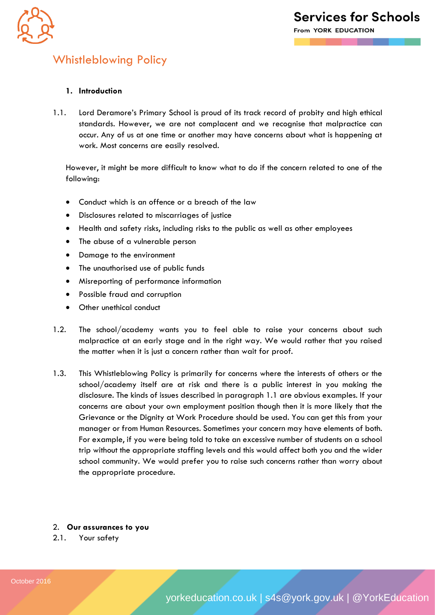

## Whistleblowing Policy

## **1. Introduction**

1.1. Lord Deramore's Primary School is proud of its track record of probity and high ethical standards. However, we are not complacent and we recognise that malpractice can occur. Any of us at one time or another may have concerns about what is happening at work. Most concerns are easily resolved.

However, it might be more difficult to know what to do if the concern related to one of the following:

- Conduct which is an offence or a breach of the law
- Disclosures related to miscarriages of justice
- Health and safety risks, including risks to the public as well as other employees
- The abuse of a vulnerable person
- Damage to the environment
- The unauthorised use of public funds
- Misreporting of performance information
- Possible fraud and corruption
- Other unethical conduct
- 1.2. The school/academy wants you to feel able to raise your concerns about such malpractice at an early stage and in the right way. We would rather that you raised the matter when it is just a concern rather than wait for proof.
- 1.3. This Whistleblowing Policy is primarily for concerns where the interests of others or the school/academy itself are at risk and there is a public interest in you making the disclosure. The kinds of issues described in paragraph 1.1 are obvious examples. If your concerns are about your own employment position though then it is more likely that the Grievance or the Dignity at Work Procedure should be used. You can get this from your manager or from Human Resources. Sometimes your concern may have elements of both. For example, if you were being told to take an excessive number of students on a school trip without the appropriate staffing levels and this would affect both you and the wider school community. We would prefer you to raise such concerns rather than worry about the appropriate procedure.

2. **Our assurances to you**

2.1. Your safety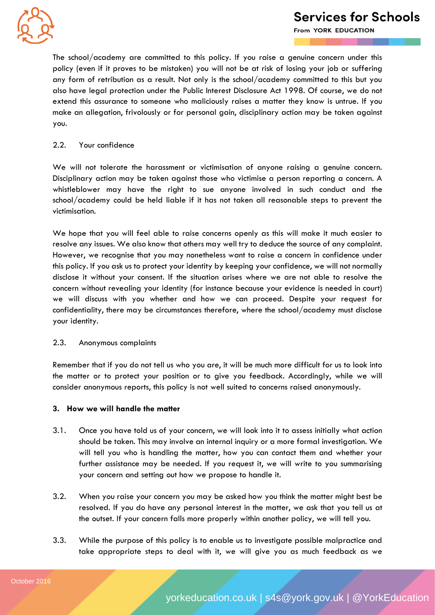

## **Services for Schools**

From YORK EDUCATION

The school/academy are committed to this policy. If you raise a genuine concern under this policy (even if it proves to be mistaken) you will not be at risk of losing your job or suffering any form of retribution as a result. Not only is the school/academy committed to this but you also have legal protection under the Public Interest Disclosure Act 1998. Of course, we do not extend this assurance to someone who maliciously raises a matter they know is untrue. If you make an allegation, frivolously or for personal gain, disciplinary action may be taken against you.

#### 2.2. Your confidence

We will not tolerate the harassment or victimisation of anyone raising a genuine concern. Disciplinary action may be taken against those who victimise a person reporting a concern. A whistleblower may have the right to sue anyone involved in such conduct and the school/academy could be held liable if it has not taken all reasonable steps to prevent the victimisation.

We hope that you will feel able to raise concerns openly as this will make it much easier to resolve any issues. We also know that others may well try to deduce the source of any complaint. However, we recognise that you may nonetheless want to raise a concern in confidence under this policy. If you ask us to protect your identity by keeping your confidence, we will not normally disclose it without your consent. If the situation arises where we are not able to resolve the concern without revealing your identity (for instance because your evidence is needed in court) we will discuss with you whether and how we can proceed. Despite your request for confidentiality, there may be circumstances therefore, where the school/academy must disclose your identity.

#### 2.3. Anonymous complaints

Remember that if you do not tell us who you are, it will be much more difficult for us to look into the matter or to protect your position or to give you feedback. Accordingly, while we will consider anonymous reports, this policy is not well suited to concerns raised anonymously.

#### **3. How we will handle the matter**

- 3.1. Once you have told us of your concern, we will look into it to assess initially what action should be taken. This may involve an internal inquiry or a more formal investigation. We will tell you who is handling the matter, how you can contact them and whether your further assistance may be needed. If you request it, we will write to you summarising your concern and setting out how we propose to handle it.
- 3.2. When you raise your concern you may be asked how you think the matter might best be resolved. If you do have any personal interest in the matter, we ask that you tell us at the outset. If your concern falls more properly within another policy, we will tell you.
- 3.3. While the purpose of this policy is to enable us to investigate possible malpractice and take appropriate steps to deal with it, we will give you as much feedback as we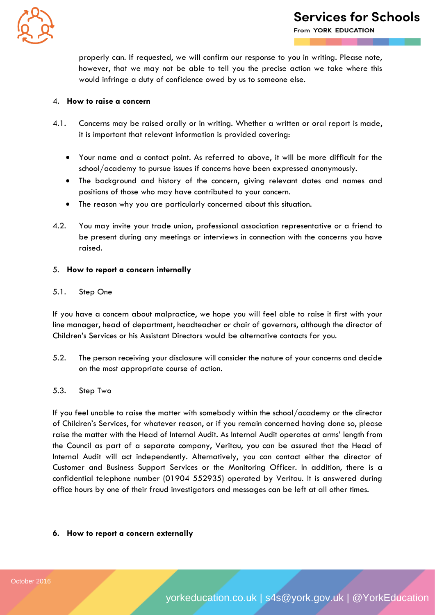

From YORK EDUCATION

properly can. If requested, we will confirm our response to you in writing. Please note, however, that we may not be able to tell you the precise action we take where this would infringe a duty of confidence owed by us to someone else.

#### 4. **How to raise a concern**

- 4.1. Concerns may be raised orally or in writing. Whether a written or oral report is made, it is important that relevant information is provided covering:
	- Your name and a contact point. As referred to above, it will be more difficult for the school/academy to pursue issues if concerns have been expressed anonymously.
	- The background and history of the concern, giving relevant dates and names and positions of those who may have contributed to your concern.
	- The reason why you are particularly concerned about this situation.
- 4.2. You may invite your trade union, professional association representative or a friend to be present during any meetings or interviews in connection with the concerns you have raised.

#### 5. **How to report a concern internally**

#### 5.1. Step One

If you have a concern about malpractice, we hope you will feel able to raise it first with your line manager, head of department, headteacher *or* chair of governors, although the director of Children's Services or his Assistant Directors would be alternative contacts for you.

5.2. The person receiving your disclosure will consider the nature of your concerns and decide on the most appropriate course of action.

#### 5.3. Step Two

If you feel unable to raise the matter with somebody within the school/academy or the director of Children's Services, for whatever reason, or if you remain concerned having done so, please raise the matter with the Head of Internal Audit. As Internal Audit operates at arms' length from the Council as part of a separate company, Veritau, you can be assured that the Head of Internal Audit will act independently. Alternatively, you can contact either the director of Customer and Business Support Services or the Monitoring Officer. In addition, there is a confidential telephone number (01904 552935) operated by Veritau. It is answered during office hours by one of their fraud investigators and messages can be left at all other times.

## **6. How to report a concern externally**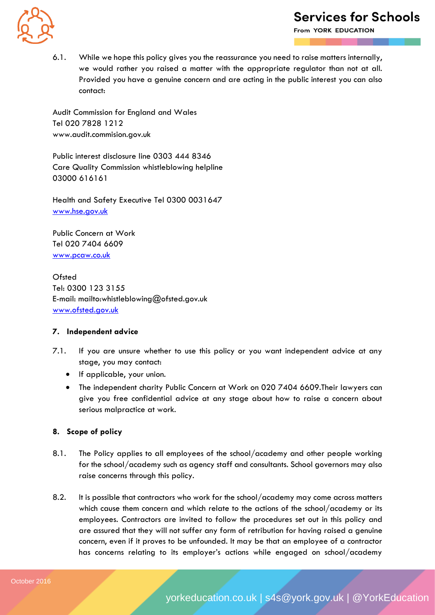

# **Services for Schools**

From YORK EDUCATION

6.1. While we hope this policy gives you the reassurance you need to raise matters internally, we would rather you raised a matter with the appropriate regulator than not at all. Provided you have a genuine concern and are acting in the public interest you can also contact:

Audit Commission for England and Wales Tel 020 7828 1212 www.audit.commision.gov.uk

Public interest disclosure line 0303 444 8346 Care Quality Commission whistleblowing helpline 03000 616161

Health and Safety Executive Tel 0300 0031647 [www.hse.gov.uk](http://www.hse.gov.uk/)

Public Concern at Work Tel 020 7404 6609 [www.pcaw.co.uk](http://www.pcaw.co.uk/)

**Ofsted** Tel: 0300 123 3155 E-mail: mailto:whistleblowing@ofsted.gov.uk [www.ofsted.gov.uk](http://www.ofsted.gov.uk/)

## **7. Independent advice**

- 7.1. If you are unsure whether to use this policy or you want independent advice at any stage, you may contact:
	- If applicable, your union.
	- The independent charity Public Concern at Work on 020 7404 6609.Their lawyers can give you free confidential advice at any stage about how to raise a concern about serious malpractice at work.

## **8. Scope of policy**

- 8.1. The Policy applies to all employees of the school/academy and other people working for the school/academy such as agency staff and consultants. School governors may also raise concerns through this policy.
- 8.2. It is possible that contractors who work for the school/academy may come across matters which cause them concern and which relate to the actions of the school/academy or its employees. Contractors are invited to follow the procedures set out in this policy and are assured that they will not suffer any form of retribution for having raised a genuine concern, even if it proves to be unfounded. It may be that an employee of a contractor has concerns relating to its employer's actions while engaged on school/academy